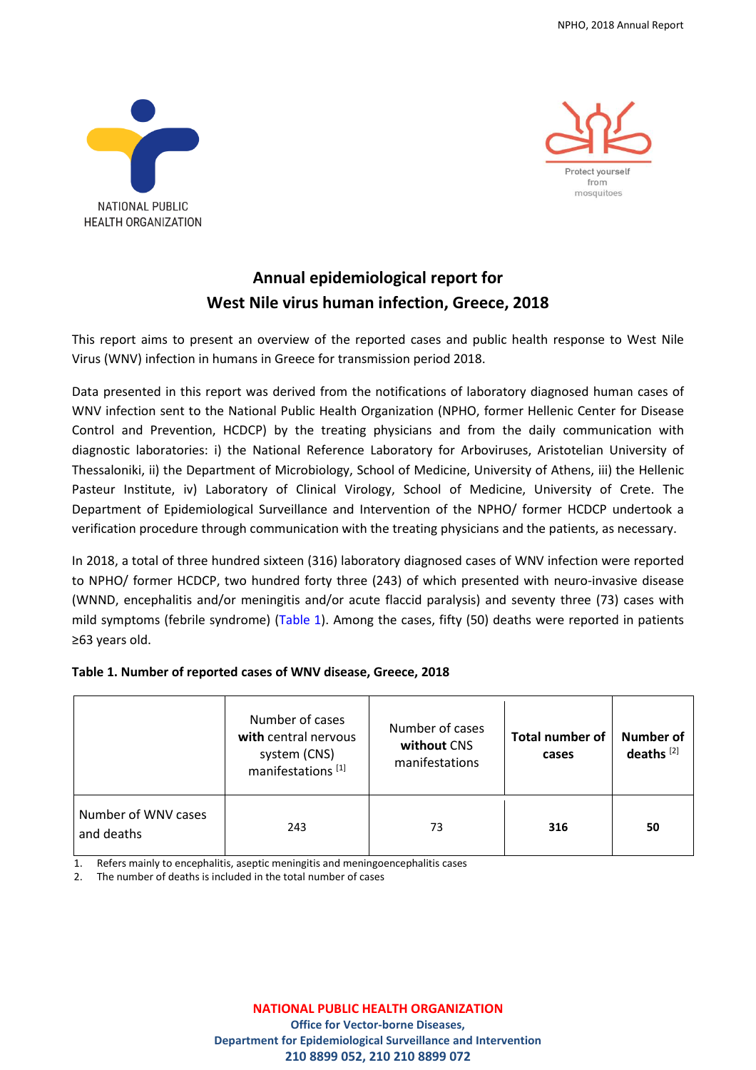



# **Annual epidemiological report for West Nile virus human infection, Greece, 2018**

This report aims to present an overview of the reported cases and public health response to West Nile Virus (WNV) infection in humans in Greece for transmission period 2018.

Data presented in this report was derived from the notifications of laboratory diagnosed human cases of WNV infection sent to the National Public Health Organization (NPHO, former Hellenic Center for Disease Control and Prevention, HCDCP) by the treating physicians and from the daily communication with diagnostic laboratories: i) the National Reference Laboratory for Arboviruses, Aristotelian University of Thessaloniki, ii) the Department of Microbiology, School of Medicine, University of Athens, iii) the Hellenic Pasteur Institute, iv) Laboratory of Clinical Virology, School of Medicine, University of Crete. The Department of Epidemiological Surveillance and Intervention of the NPHO/ former HCDCP undertook a verification procedure through communication with the treating physicians and the patients, as necessary.

In 2018, a total of three hundred sixteen (316) laboratory diagnosed cases of WNV infection were reported to NPHO/ former HCDCP, two hundred forty three (243) of which presented with neuro-invasive disease (WNND, encephalitis and/or meningitis and/or acute flaccid paralysis) and seventy three (73) cases with mild symptoms (febrile syndrome) (Table 1). Among the cases, fifty (50) deaths were reported in patients ≥63 years old.

# **Table 1. Number of reported cases of WNV disease, Greece, 2018**

|                                   | Number of cases<br>with central nervous<br>system (CNS)<br>manifestations <sup>[1]</sup> | Number of cases<br>without CNS<br>manifestations | <b>Total number of</b><br>cases | <b>Number of</b><br>deaths $[2]$ |
|-----------------------------------|------------------------------------------------------------------------------------------|--------------------------------------------------|---------------------------------|----------------------------------|
| Number of WNV cases<br>and deaths | 243                                                                                      | 73                                               | 316                             | 50                               |

1. Refers mainly to encephalitis, aseptic meningitis and meningoencephalitis cases

2. The number of deaths is included in the total number of cases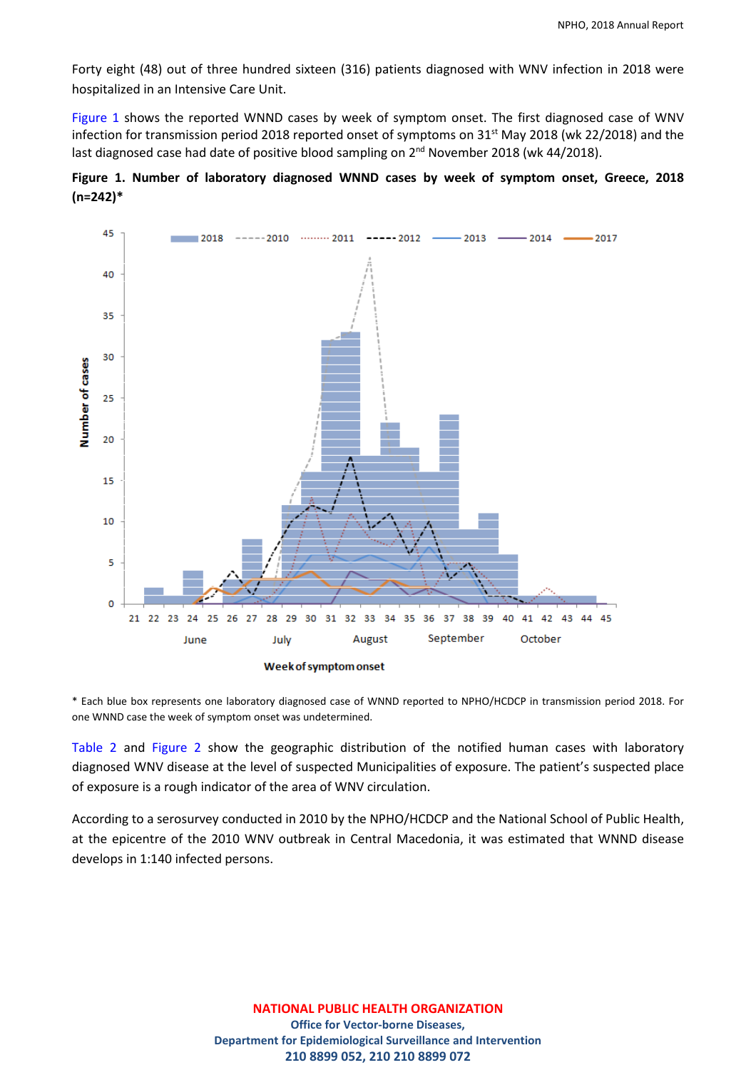Forty eight (48) out of three hundred sixteen (316) patients diagnosed with WNV infection in 2018 were hospitalized in an Intensive Care Unit.

Figure 1 shows the reported WNND cases by week of symptom onset. The first diagnosed case of WNV infection for transmission period 2018 reported onset of symptoms on 31<sup>st</sup> May 2018 (wk 22/2018) and the last diagnosed case had date of positive blood sampling on 2<sup>nd</sup> November 2018 (wk 44/2018).





\* Each blue box represents one laboratory diagnosed case of WNND reported to NPHO/HCDCP in transmission period 2018. For one WNND case the week of symptom onset was undetermined.

Table 2 and Figure 2 show the geographic distribution of the notified human cases with laboratory diagnosed WNV disease at the level of suspected Municipalities of exposure. The patient's suspected place of exposure is a rough indicator of the area of WNV circulation.

According to a serosurvey conducted in 2010 by the NPHO/HCDCP and the National School of Public Health, at the epicentre of the 2010 WNV outbreak in Central Macedonia, it was estimated that WNND disease develops in 1:140 infected persons.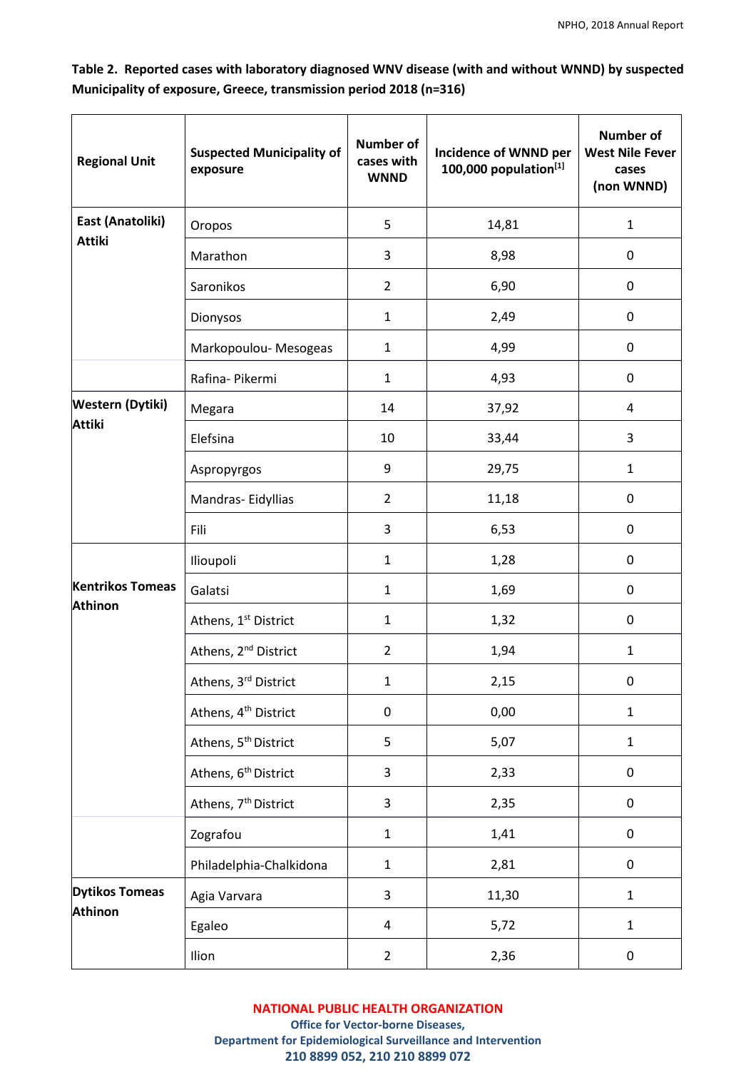| Table 2. Reported cases with laboratory diagnosed WNV disease (with and without WNND) by suspected |  |
|----------------------------------------------------------------------------------------------------|--|
| Municipality of exposure, Greece, transmission period 2018 (n=316)                                 |  |

| <b>Regional Unit</b>    | <b>Suspected Municipality of</b><br>exposure | <b>Number of</b><br>cases with<br><b>WNND</b> | Incidence of WNND per<br>100,000 population $[1]$ | <b>Number of</b><br><b>West Nile Fever</b><br>cases<br>(non WNND) |
|-------------------------|----------------------------------------------|-----------------------------------------------|---------------------------------------------------|-------------------------------------------------------------------|
| East (Anatoliki)        | Oropos                                       | 5                                             | 14,81                                             | $\mathbf{1}$                                                      |
| <b>Attiki</b>           | Marathon                                     | 3                                             | 8,98                                              | $\mathbf 0$                                                       |
|                         | Saronikos                                    | $\overline{2}$                                | 6,90                                              | $\mathbf 0$                                                       |
|                         | Dionysos                                     | $\mathbf{1}$                                  | 2,49                                              | $\pmb{0}$                                                         |
|                         | Markopoulou- Mesogeas                        | $\mathbf{1}$                                  | 4,99                                              | $\pmb{0}$                                                         |
|                         | Rafina- Pikermi                              | $\mathbf{1}$                                  | 4,93                                              | $\pmb{0}$                                                         |
| <b>Western (Dytiki)</b> | Megara                                       | 14                                            | 37,92                                             | $\overline{4}$                                                    |
| <b>Attiki</b>           | Elefsina                                     | 10                                            | 33,44                                             | 3                                                                 |
|                         | Aspropyrgos                                  | 9                                             | 29,75                                             | $\mathbf{1}$                                                      |
|                         | Mandras-Eidyllias                            | $\overline{2}$                                | 11,18                                             | $\mathbf 0$                                                       |
|                         | Fili                                         | 3                                             | 6,53                                              | $\mathbf 0$                                                       |
|                         | Ilioupoli                                    | $\mathbf{1}$                                  | 1,28                                              | $\mathbf 0$                                                       |
| <b>Kentrikos Tomeas</b> | Galatsi                                      | $\mathbf{1}$                                  | 1,69                                              | $\mathbf 0$                                                       |
| <b>Athinon</b>          | Athens, 1st District                         | $\mathbf{1}$                                  | 1,32                                              | $\mathbf 0$                                                       |
|                         | Athens, 2 <sup>nd</sup> District             | $\overline{2}$                                | 1,94                                              | $\mathbf 1$                                                       |
|                         | Athens, 3rd District                         | 1                                             | 2,15                                              | $\mathbf{0}$                                                      |
|                         | Athens, 4 <sup>th</sup> District             | $\pmb{0}$                                     | 0,00                                              | $\mathbf 1$                                                       |
|                         | Athens, 5 <sup>th</sup> District             | 5                                             | 5,07                                              | $\mathbf 1$                                                       |
|                         | Athens, 6 <sup>th</sup> District             | 3                                             | 2,33                                              | $\pmb{0}$                                                         |
|                         | Athens, 7 <sup>th</sup> District             | 3                                             | 2,35                                              | $\pmb{0}$                                                         |
|                         | Zografou                                     | $\mathbf 1$                                   | 1,41                                              | $\pmb{0}$                                                         |
|                         | Philadelphia-Chalkidona                      | $\mathbf 1$                                   | 2,81                                              | $\pmb{0}$                                                         |
| <b>Dytikos Tomeas</b>   | Agia Varvara                                 | 3                                             | 11,30                                             | $\mathbf 1$                                                       |
| <b>Athinon</b>          | Egaleo                                       | $\overline{4}$                                | 5,72                                              | $\mathbf 1$                                                       |
|                         | Ilion                                        | $\overline{2}$                                | 2,36                                              | $\pmb{0}$                                                         |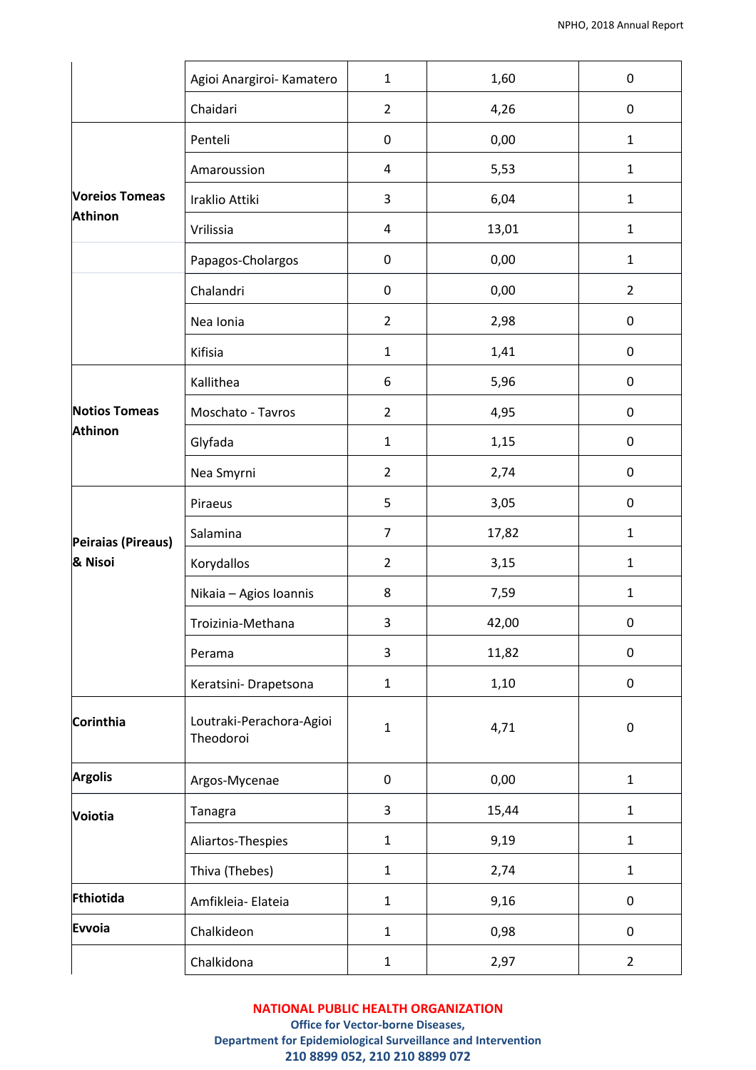|                       | Agioi Anargiroi- Kamatero             | $\mathbf{1}$     | 1,60  | $\boldsymbol{0}$ |
|-----------------------|---------------------------------------|------------------|-------|------------------|
|                       | Chaidari                              | $\overline{2}$   | 4,26  | $\pmb{0}$        |
|                       | Penteli                               | $\pmb{0}$        | 0,00  | $\mathbf 1$      |
|                       | Amaroussion                           | 4                | 5,53  | $\mathbf{1}$     |
| <b>Voreios Tomeas</b> | Iraklio Attiki                        | 3                | 6,04  | $\mathbf 1$      |
| <b>Athinon</b>        | Vrilissia                             | 4                | 13,01 | $\mathbf{1}$     |
|                       | Papagos-Cholargos                     | $\pmb{0}$        | 0,00  | $\mathbf 1$      |
|                       | Chalandri                             | $\boldsymbol{0}$ | 0,00  | $\overline{2}$   |
|                       | Nea Ionia                             | $\overline{2}$   | 2,98  | $\pmb{0}$        |
|                       | Kifisia                               | $\mathbf{1}$     | 1,41  | $\pmb{0}$        |
|                       | Kallithea                             | 6                | 5,96  | $\pmb{0}$        |
| <b>Notios Tomeas</b>  | Moschato - Tavros                     | $\overline{2}$   | 4,95  | $\pmb{0}$        |
| <b>Athinon</b>        | Glyfada                               | $\mathbf{1}$     | 1,15  | $\pmb{0}$        |
|                       | Nea Smyrni                            | $\overline{2}$   | 2,74  | $\pmb{0}$        |
|                       | Piraeus                               | 5                | 3,05  | $\boldsymbol{0}$ |
| Peiraias (Pireaus)    | Salamina                              | $\overline{7}$   | 17,82 | $\mathbf 1$      |
| & Nisoi               | Korydallos                            | $\overline{2}$   | 3,15  | $\mathbf 1$      |
|                       | Nikaia - Agios Ioannis                | 8                | 7,59  | $\mathbf 1$      |
|                       | Troizinia-Methana                     | 3                | 42,00 | $\boldsymbol{0}$ |
|                       | Perama                                | 3                | 11,82 | $\pmb{0}$        |
|                       | Keratsini- Drapetsona                 | $\mathbf 1$      | 1,10  | $\pmb{0}$        |
| Corinthia             | Loutraki-Perachora-Agioi<br>Theodoroi | $\mathbf{1}$     | 4,71  | $\boldsymbol{0}$ |
| <b>Argolis</b>        | Argos-Mycenae                         | $\pmb{0}$        | 0,00  | $\mathbf{1}$     |
| <b>Voiotia</b>        | Tanagra                               | 3                | 15,44 | $\mathbf 1$      |
|                       | Aliartos-Thespies                     | $\mathbf{1}$     | 9,19  | $\mathbf{1}$     |
|                       | Thiva (Thebes)                        | $\mathbf{1}$     | 2,74  | $\mathbf 1$      |
| Fthiotida             | Amfikleia- Elateia                    | $\mathbf{1}$     | 9,16  | $\pmb{0}$        |
| Evvoia                | Chalkideon                            | $\mathbf{1}$     | 0,98  | $\pmb{0}$        |
|                       | Chalkidona                            | $1\,$            | 2,97  | $\overline{2}$   |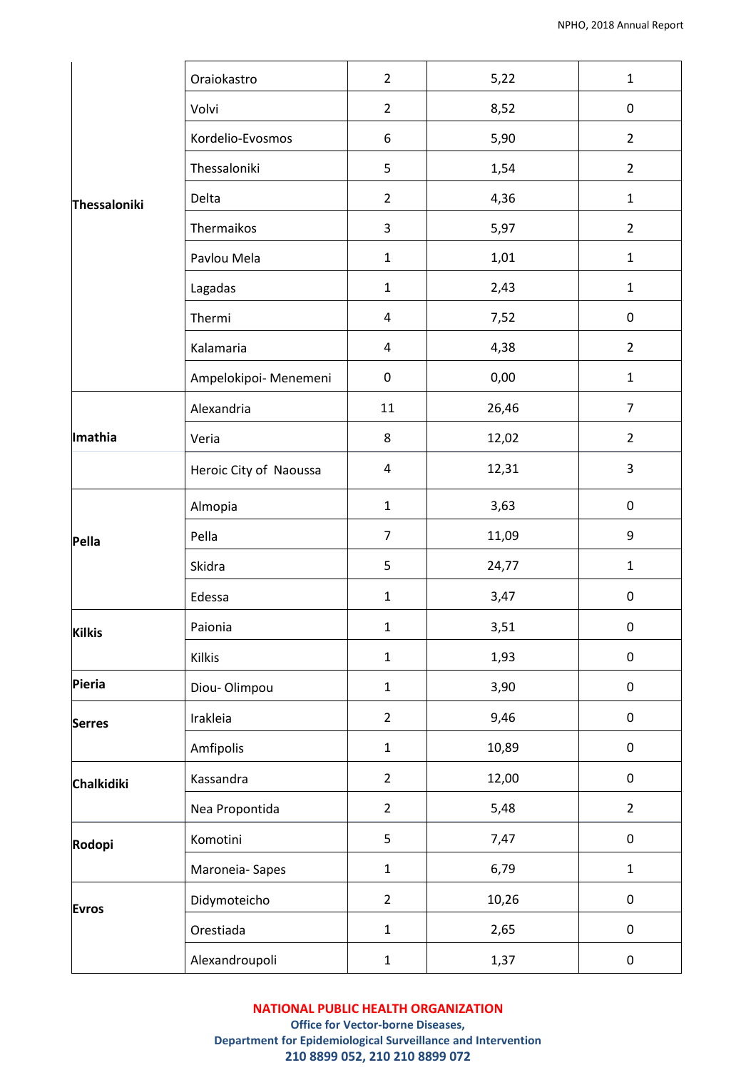|               | Oraiokastro            | $\overline{2}$ | 5,22  | $\mathbf 1$             |
|---------------|------------------------|----------------|-------|-------------------------|
|               | Volvi                  | $\overline{2}$ | 8,52  | $\mathbf 0$             |
|               | Kordelio-Evosmos       | 6              | 5,90  | $\overline{2}$          |
|               | Thessaloniki           | 5              | 1,54  | $\overline{2}$          |
| Thessaloniki  | Delta                  | $\overline{2}$ | 4,36  | $\mathbf 1$             |
|               | Thermaikos             | 3              | 5,97  | $\overline{2}$          |
|               | Pavlou Mela            | $\mathbf 1$    | 1,01  | $\mathbf 1$             |
|               | Lagadas                | $\mathbf 1$    | 2,43  | $\mathbf 1$             |
|               | Thermi                 | 4              | 7,52  | $\pmb{0}$               |
|               | Kalamaria              | 4              | 4,38  | $\overline{2}$          |
|               | Ampelokipoi- Menemeni  | $\pmb{0}$      | 0,00  | $\mathbf{1}$            |
|               | Alexandria             | 11             | 26,46 | $\overline{7}$          |
| Imathia       | Veria                  | 8              | 12,02 | $\overline{2}$          |
|               | Heroic City of Naoussa | 4              | 12,31 | $\overline{\mathbf{3}}$ |
|               | Almopia                | $\mathbf{1}$   | 3,63  | $\pmb{0}$               |
| Pella         | Pella                  | $\overline{7}$ | 11,09 | 9                       |
|               | Skidra                 | 5              | 24,77 | $\mathbf 1$             |
|               | Edessa                 | $\mathbf 1$    | 3,47  | $\pmb{0}$               |
| <b>Kilkis</b> | Paionia                | $\mathbf{1}$   | 3,51  | $\mathbf{0}$            |
|               | Kilkis                 | $\mathbf 1$    | 1,93  | $\pmb{0}$               |
| Pieria        | Diou-Olimpou           | $\mathbf 1$    | 3,90  | $\pmb{0}$               |
| <b>Serres</b> | Irakleia               | $\overline{2}$ | 9,46  | $\pmb{0}$               |
|               | Amfipolis              | $\mathbf 1$    | 10,89 | $\pmb{0}$               |
| Chalkidiki    | Kassandra              | $\overline{2}$ | 12,00 | $\pmb{0}$               |
|               | Nea Propontida         | $\overline{2}$ | 5,48  | $\overline{2}$          |
| Rodopi        | Komotini               | 5              | 7,47  | $\pmb{0}$               |
|               | Maroneia-Sapes         | $\mathbf 1$    | 6,79  | $\mathbf 1$             |
| <b>Evros</b>  | Didymoteicho           | $\overline{2}$ | 10,26 | $\pmb{0}$               |
|               | Orestiada              | $\mathbf 1$    | 2,65  | $\boldsymbol{0}$        |
|               | Alexandroupoli         | $\mathbf 1$    | 1,37  | $\pmb{0}$               |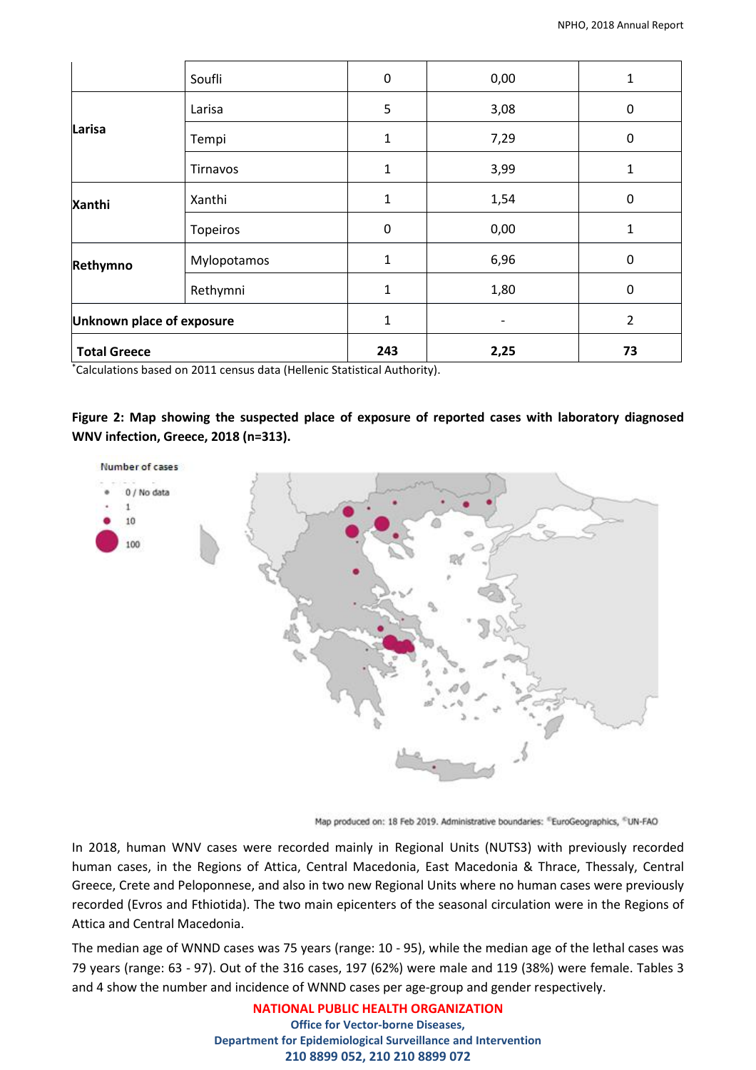| <b>Total Greece</b>       |             | 243          | 2,25 | 73             |
|---------------------------|-------------|--------------|------|----------------|
| Unknown place of exposure |             | $\mathbf{1}$ |      | $\overline{2}$ |
|                           | Rethymni    | $\mathbf{1}$ | 1,80 | 0              |
| <b>Xanthi</b><br>Rethymno | Mylopotamos | 1            | 6,96 | 0              |
|                           | Topeiros    | $\pmb{0}$    | 0,00 | 1              |
|                           | Xanthi      | $\mathbf{1}$ | 1,54 | 0              |
|                           | Tirnavos    | 1            | 3,99 | 1              |
| Larisa                    | Tempi       | $\mathbf{1}$ | 7,29 | 0              |
|                           | Larisa      | 5            | 3,08 | 0              |
|                           | Soufli      | $\mathbf 0$  | 0,00 | 1              |

\*Calculations based on 2011 census data (Hellenic Statistical Authority).

# **Figure 2: Map showing the suspected place of exposure of reported cases with laboratory diagnosed WNV infection, Greece, 2018 (n=313).**



Map produced on: 18 Feb 2019. Administrative boundaries: "EuroGeographics, "UN-FAO

In 2018, human WNV cases were recorded mainly in Regional Units (NUTS3) with previously recorded human cases, in the Regions of Attica, Central Macedonia, East Macedonia & Thrace, Thessaly, Central Greece, Crete and Peloponnese, and also in two new Regional Units where no human cases were previously recorded (Evros and Fthiotida). The two main epicenters of the seasonal circulation were in the Regions of Attica and Central Macedonia.

The median age of WNND cases was 75 years (range: 10 - 95), while the median age of the lethal cases was 79 years (range: 63 - 97). Out of the 316 cases, 197 (62%) were male and 119 (38%) were female. Tables 3 and 4 show the number and incidence of WNND cases per age-group and gender respectively.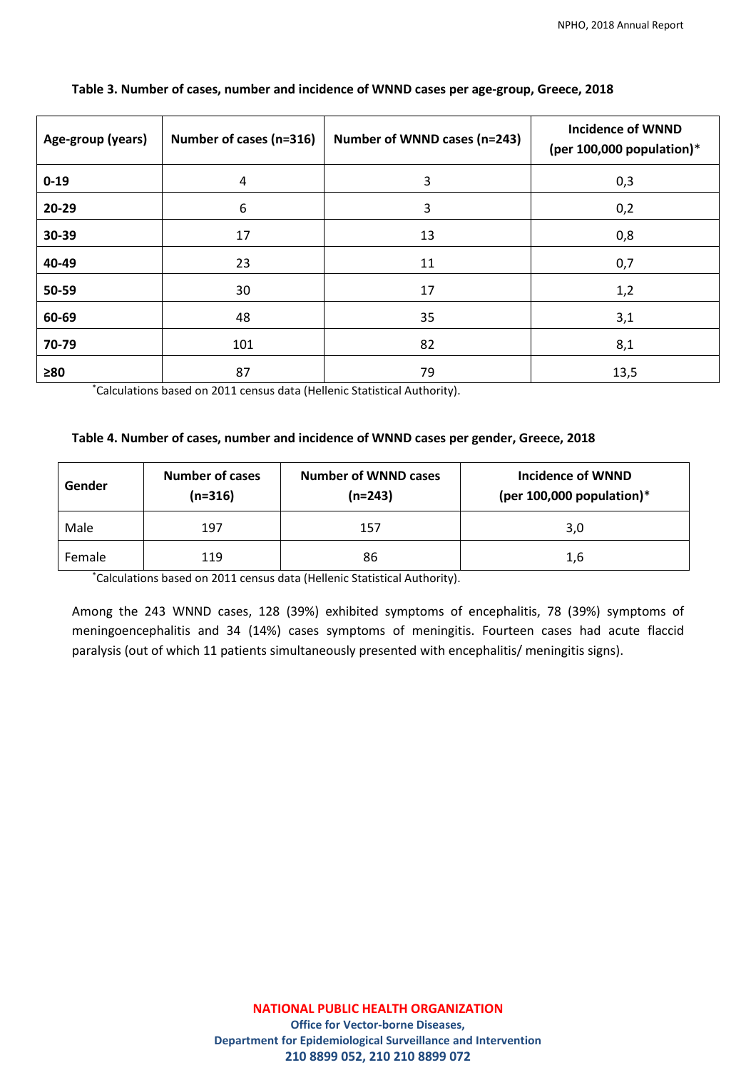| Age-group (years) | Number of cases (n=316) | Number of WNND cases (n=243) | <b>Incidence of WNND</b><br>(per 100,000 population) $*$ |
|-------------------|-------------------------|------------------------------|----------------------------------------------------------|
| $0 - 19$          | 4                       | 3                            | 0,3                                                      |
| 20-29             | 6                       | 3                            | 0,2                                                      |
| 30-39             | 17                      | 13                           | 0,8                                                      |
| 40-49             | 23                      | 11                           | 0,7                                                      |
| 50-59             | 30                      | 17                           | 1,2                                                      |
| 60-69             | 48                      | 35                           | 3,1                                                      |
| 70-79             | 101                     | 82                           | 8,1                                                      |
| $\geq 80$         | 87                      | 79                           | 13,5                                                     |

## **Table 3. Number of cases, number and incidence of WNND cases per age-group, Greece, 2018**

\*Calculations based on 2011 census data (Hellenic Statistical Authority).

## **Table 4. Number of cases, number and incidence of WNND cases per gender, Greece, 2018**

| Gender | <b>Number of cases</b><br>$(n=316)$ | <b>Number of WNND cases</b><br>$(n=243)$ | Incidence of WNND<br>(per 100,000 population) $*$ |
|--------|-------------------------------------|------------------------------------------|---------------------------------------------------|
| Male   | 197                                 | 157                                      | 3,0                                               |
| Female | 119                                 | 86                                       | 1,6                                               |

\*Calculations based on 2011 census data (Hellenic Statistical Authority).

Among the 243 WNND cases, 128 (39%) exhibited symptoms of encephalitis, 78 (39%) symptoms of meningoencephalitis and 34 (14%) cases symptoms of meningitis. Fourteen cases had acute flaccid paralysis (out of which 11 patients simultaneously presented with encephalitis/ meningitis signs).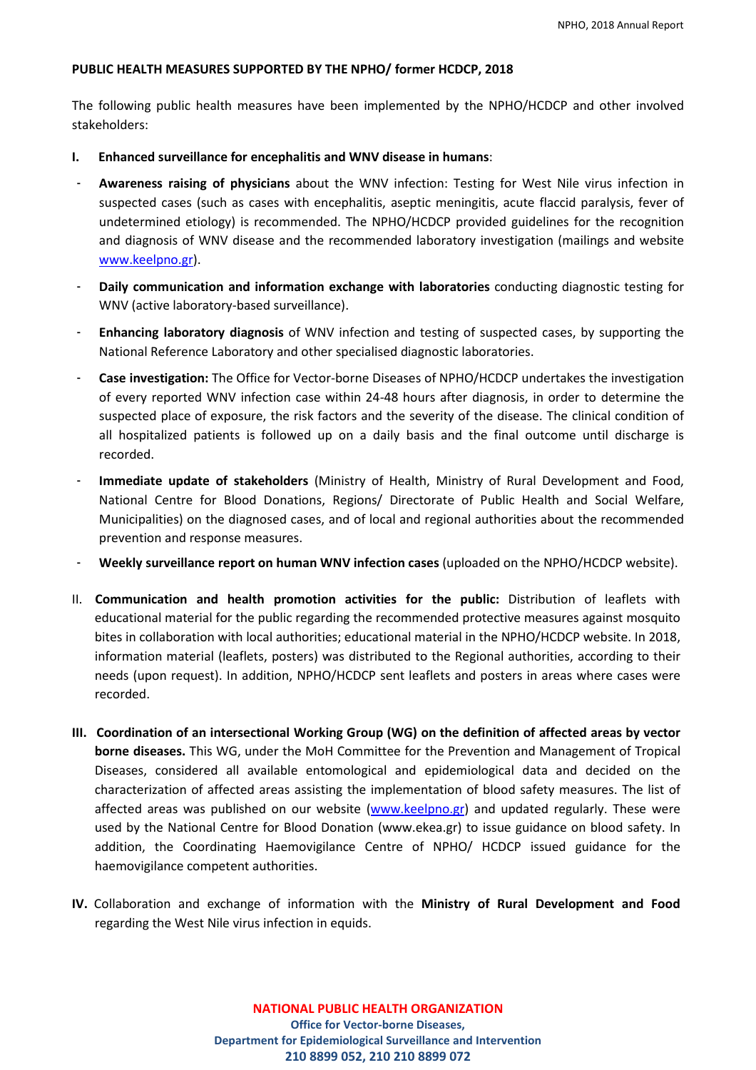## **PUBLIC HEALTH MEASURES SUPPORTED BY THE NPHO/ former HCDCP, 2018**

The following public health measures have been implemented by the NPHO/HCDCP and other involved stakeholders:

- **I. Enhanced surveillance for encephalitis and WNV disease in humans**:
- ‐ **Awareness raising of physicians** about the WNV infection: Testing for West Nile virus infection in suspected cases (such as cases with encephalitis, aseptic meningitis, acute flaccid paralysis, fever of undetermined etiology) is recommended. The NPHO/HCDCP provided guidelines for the recognition and diagnosis of WNV disease and the recommended laboratory investigation (mailings and website [www.keelpno.gr\)](http://www.keelpno.gr/).
- ‐ **Daily communication and information exchange with laboratories** conducting diagnostic testing for WNV (active laboratory-based surveillance).
- ‐ **Enhancing laboratory diagnosis** of WNV infection and testing of suspected cases, by supporting the National Reference Laboratory and other specialised diagnostic laboratories.
- ‐ **Case investigation:** The Office for Vector-borne Diseases of NPHO/HCDCP undertakes the investigation of every reported WNV infection case within 24-48 hours after diagnosis, in order to determine the suspected place of exposure, the risk factors and the severity of the disease. The clinical condition of all hospitalized patients is followed up on a daily basis and the final outcome until discharge is recorded.
- ‐ **Immediate update of stakeholders** (Ministry of Health, Ministry of Rural Development and Food, National Centre for Blood Donations, Regions/ Directorate of Public Health and Social Welfare, Municipalities) on the diagnosed cases, and of local and regional authorities about the recommended prevention and response measures.
- ‐ **Weekly surveillance report on human WNV infection cases** (uploaded on the NPHO/HCDCP website).
- II. **Communication and health promotion activities for the public:** Distribution of leaflets with educational material for the public regarding the recommended protective measures against mosquito bites in collaboration with local authorities; educational material in the NPHO/HCDCP website. In 2018, information material (leaflets, posters) was distributed to the Regional authorities, according to their needs (upon request). In addition, NPHO/HCDCP sent leaflets and posters in areas where cases were recorded.
- **III. Coordination of an intersectional Working Group (WG) on the definition of affected areas by vector borne diseases.** This WG, under the MoH Committee for the Prevention and Management of Tropical Diseases, considered all available entomological and epidemiological data and decided on the characterization of affected areas assisting the implementation of blood safety measures. The list of affected areas was published on our website [\(www.keelpno.gr\)](http://www.keelpno.gr/) and updated regularly. These were used by the National Centre for Blood Donation [\(www.ekea.gr\)](http://www.ekea.gr/) to issue guidance on blood safety. In addition, the Coordinating Haemovigilance Centre of NPHO/ HCDCP issued guidance for the haemovigilance competent authorities.
- **IV.** Collaboration and exchange of information with the **Ministry of Rural Development and Food** regarding the West Nile virus infection in equids.